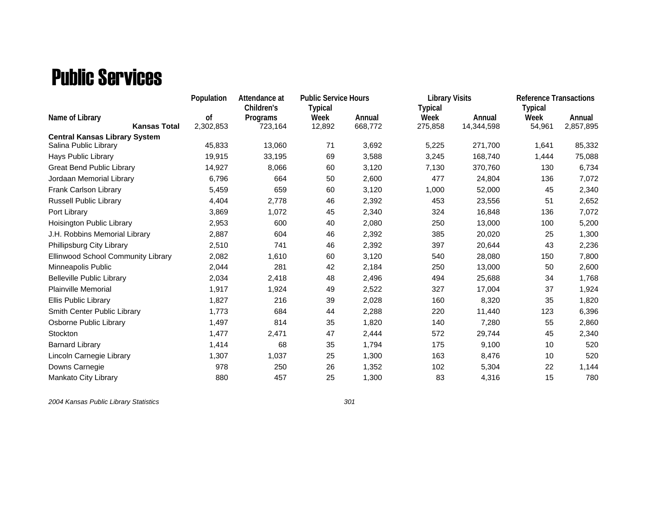## Public Services

|                                      | Population<br>Attendance at |            |                | <b>Public Service Hours</b> |                | <b>Library Visits</b> | <b>Reference Transactions</b> |           |
|--------------------------------------|-----------------------------|------------|----------------|-----------------------------|----------------|-----------------------|-------------------------------|-----------|
|                                      |                             | Children's | <b>Typical</b> |                             | <b>Typical</b> |                       | <b>Typical</b>                |           |
| Name of Library                      | of                          | Programs   | Week           | Annual                      | Week           | Annual                | Week                          | Annual    |
| <b>Kansas Total</b>                  | 2,302,853                   | 723,164    | 12,892         | 668,772                     | 275,858        | 14,344,598            | 54,961                        | 2,857,895 |
| <b>Central Kansas Library System</b> |                             |            |                |                             |                |                       |                               |           |
| Salina Public Library                | 45,833                      | 13,060     | 71             | 3,692                       | 5,225          | 271,700               | 1,641                         | 85,332    |
| Hays Public Library                  | 19,915                      | 33,195     | 69             | 3,588                       | 3,245          | 168,740               | 1,444                         | 75,088    |
| <b>Great Bend Public Library</b>     | 14,927                      | 8,066      | 60             | 3,120                       | 7,130          | 370,760               | 130                           | 6,734     |
| Jordaan Memorial Library             | 6,796                       | 664        | 50             | 2,600                       | 477            | 24,804                | 136                           | 7,072     |
| Frank Carlson Library                | 5,459                       | 659        | 60             | 3,120                       | 1,000          | 52,000                | 45                            | 2,340     |
| Russell Public Library               | 4,404                       | 2,778      | 46             | 2,392                       | 453            | 23,556                | 51                            | 2,652     |
| Port Library                         | 3,869                       | 1,072      | 45             | 2,340                       | 324            | 16,848                | 136                           | 7,072     |
| Hoisington Public Library            | 2,953                       | 600        | 40             | 2,080                       | 250            | 13,000                | 100                           | 5,200     |
| J.H. Robbins Memorial Library        | 2,887                       | 604        | 46             | 2,392                       | 385            | 20,020                | 25                            | 1,300     |
| Phillipsburg City Library            | 2,510                       | 741        | 46             | 2,392                       | 397            | 20,644                | 43                            | 2,236     |
| Ellinwood School Community Library   | 2,082                       | 1,610      | 60             | 3,120                       | 540            | 28,080                | 150                           | 7,800     |
| Minneapolis Public                   | 2,044                       | 281        | 42             | 2,184                       | 250            | 13,000                | 50                            | 2,600     |
| <b>Belleville Public Library</b>     | 2,034                       | 2,418      | 48             | 2,496                       | 494            | 25,688                | 34                            | 1,768     |
| <b>Plainville Memorial</b>           | 1,917                       | 1,924      | 49             | 2,522                       | 327            | 17,004                | 37                            | 1,924     |
| Ellis Public Library                 | 1,827                       | 216        | 39             | 2,028                       | 160            | 8,320                 | 35                            | 1,820     |
| Smith Center Public Library          | 1,773                       | 684        | 44             | 2,288                       | 220            | 11,440                | 123                           | 6,396     |
| Osborne Public Library               | 1,497                       | 814        | 35             | 1,820                       | 140            | 7,280                 | 55                            | 2,860     |
| Stockton                             | 1,477                       | 2,471      | 47             | 2,444                       | 572            | 29,744                | 45                            | 2,340     |
| <b>Barnard Library</b>               | 1,414                       | 68         | 35             | 1,794                       | 175            | 9,100                 | 10                            | 520       |
| Lincoln Carnegie Library             | 1,307                       | 1,037      | 25             | 1,300                       | 163            | 8,476                 | 10                            | 520       |
| Downs Carnegie                       | 978                         | 250        | 26             | 1,352                       | 102            | 5,304                 | 22                            | 1,144     |
| Mankato City Library                 | 880                         | 457        | 25             | 1,300                       | 83             | 4,316                 | 15                            | 780       |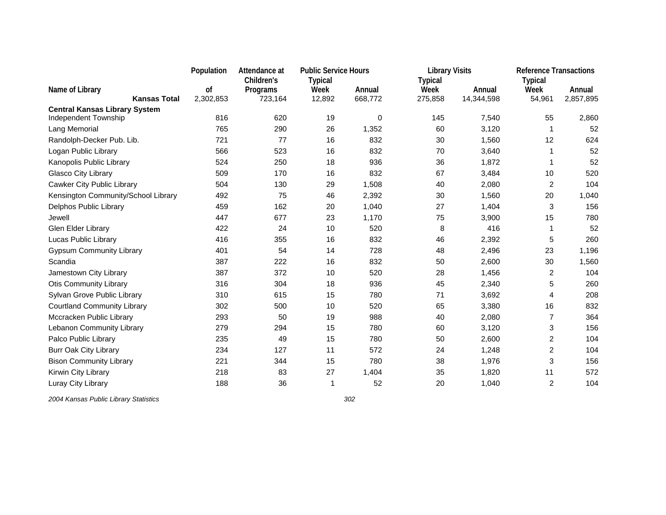|                                                              | Population | Attendance at | <b>Public Service Hours</b> |         | <b>Library Visits</b> |            | <b>Reference Transactions</b> |           |
|--------------------------------------------------------------|------------|---------------|-----------------------------|---------|-----------------------|------------|-------------------------------|-----------|
|                                                              |            | Children's    | <b>Typical</b>              |         | <b>Typical</b>        |            | <b>Typical</b>                |           |
| Name of Library                                              | οf         | Programs      | Week                        | Annual  | Week                  | Annual     | Week                          | Annual    |
| <b>Kansas Total</b>                                          | 2,302,853  | 723,164       | 12,892                      | 668,772 | 275,858               | 14,344,598 | 54,961                        | 2,857,895 |
| <b>Central Kansas Library System</b><br>Independent Township | 816        | 620           | 19                          | 0       | 145                   | 7,540      | 55                            | 2,860     |
| Lang Memorial                                                | 765        | 290           | 26                          | 1,352   | 60                    | 3,120      | 1                             | 52        |
| Randolph-Decker Pub. Lib.                                    | 721        | 77            | 16                          | 832     | 30                    | 1,560      | 12                            | 624       |
| Logan Public Library                                         | 566        | 523           | 16                          | 832     | 70                    | 3,640      | -1                            | 52        |
| Kanopolis Public Library                                     | 524        | 250           | 18                          | 936     | 36                    | 1,872      | 1                             | 52        |
| Glasco City Library                                          | 509        | 170           | 16                          | 832     | 67                    | 3,484      | 10                            | 520       |
| Cawker City Public Library                                   | 504        | 130           | 29                          | 1,508   | 40                    | 2,080      | 2                             | 104       |
| Kensington Community/School Library                          | 492        | 75            | 46                          | 2,392   | 30                    | 1,560      | 20                            | 1,040     |
| Delphos Public Library                                       | 459        | 162           | 20                          | 1,040   | 27                    | 1,404      | 3                             | 156       |
| Jewell                                                       | 447        | 677           | 23                          | 1,170   | 75                    | 3,900      | 15                            | 780       |
| Glen Elder Library                                           | 422        | 24            | 10                          | 520     | 8                     | 416        | 1                             | 52        |
| Lucas Public Library                                         | 416        | 355           | 16                          | 832     | 46                    | 2,392      | 5                             | 260       |
| <b>Gypsum Community Library</b>                              | 401        | 54            | 14                          | 728     | 48                    | 2,496      | 23                            | 1,196     |
| Scandia                                                      | 387        | 222           | 16                          | 832     | 50                    | 2,600      | 30                            | 1,560     |
| Jamestown City Library                                       | 387        | 372           | 10                          | 520     | 28                    | 1,456      | 2                             | 104       |
| <b>Otis Community Library</b>                                | 316        | 304           | 18                          | 936     | 45                    | 2,340      | 5                             | 260       |
| Sylvan Grove Public Library                                  | 310        | 615           | 15                          | 780     | 71                    | 3,692      | 4                             | 208       |
| <b>Courtland Community Library</b>                           | 302        | 500           | 10                          | 520     | 65                    | 3,380      | 16                            | 832       |
| Mccracken Public Library                                     | 293        | 50            | 19                          | 988     | 40                    | 2,080      | $\overline{7}$                | 364       |
| Lebanon Community Library                                    | 279        | 294           | 15                          | 780     | 60                    | 3,120      | 3                             | 156       |
| Palco Public Library                                         | 235        | 49            | 15                          | 780     | 50                    | 2,600      | $\overline{c}$                | 104       |
| <b>Burr Oak City Library</b>                                 | 234        | 127           | 11                          | 572     | 24                    | 1,248      | $\overline{c}$                | 104       |
| <b>Bison Community Library</b>                               | 221        | 344           | 15                          | 780     | 38                    | 1,976      | 3                             | 156       |
| Kirwin City Library                                          | 218        | 83            | 27                          | 1,404   | 35                    | 1,820      | 11                            | 572       |
| Luray City Library                                           | 188        | 36            | 1                           | 52      | 20                    | 1,040      | $\overline{2}$                | 104       |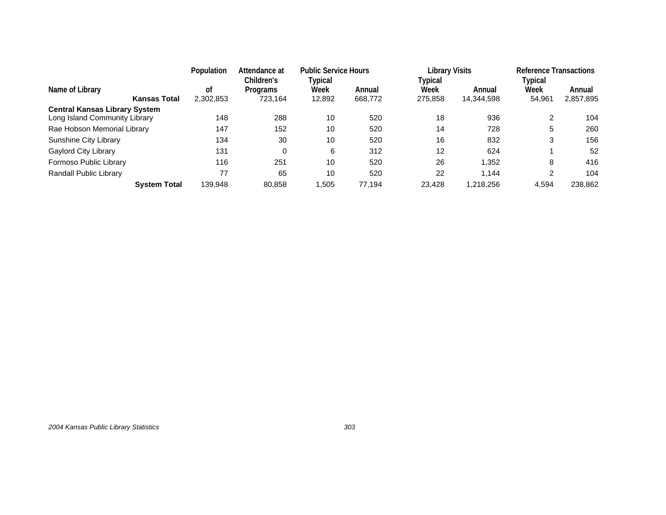|                                                                       | Population<br>Attendance at<br>Children's |                            | <b>Public Service Hours</b><br>Typical |                   | Library Visits<br>Typical |                      | <b>Reference Transactions</b><br>Typical |                     |
|-----------------------------------------------------------------------|-------------------------------------------|----------------------------|----------------------------------------|-------------------|---------------------------|----------------------|------------------------------------------|---------------------|
| Name of Library<br><b>Kansas Total</b>                                | 0f<br>2,302,853                           | <b>Programs</b><br>723,164 | Week<br>12,892                         | Annual<br>668,772 | Week<br>275,858           | Annual<br>14,344,598 | Week<br>54,961                           | Annual<br>2,857,895 |
| <b>Central Kansas Library System</b><br>Long Island Community Library | 148                                       | 288                        | 10                                     | 520               | 18                        | 936                  | 2                                        | 104                 |
| Rae Hobson Memorial Library                                           | 147                                       | 152                        | 10                                     | 520               | 14                        | 728                  | 5                                        | 260                 |
| Sunshine City Library                                                 | 134                                       | 30                         | 10                                     | 520               | 16                        | 832                  | 3                                        | 156                 |
| Gaylord City Library                                                  | 131                                       | 0                          | 6                                      | 312               | 12                        | 624                  |                                          | 52                  |
| Formoso Public Library                                                | 116                                       | 251                        | 10                                     | 520               | 26                        | 1.352                | 8                                        | 416                 |
| Randall Public Library                                                | 77                                        | 65                         | 10                                     | 520               | 22                        | 1.144                | 2                                        | 104                 |
| <b>System Total</b>                                                   | 139.948                                   | 80,858                     | 1.505                                  | 77.194            | 23.428                    | 1,218,256            | 4.594                                    | 238,862             |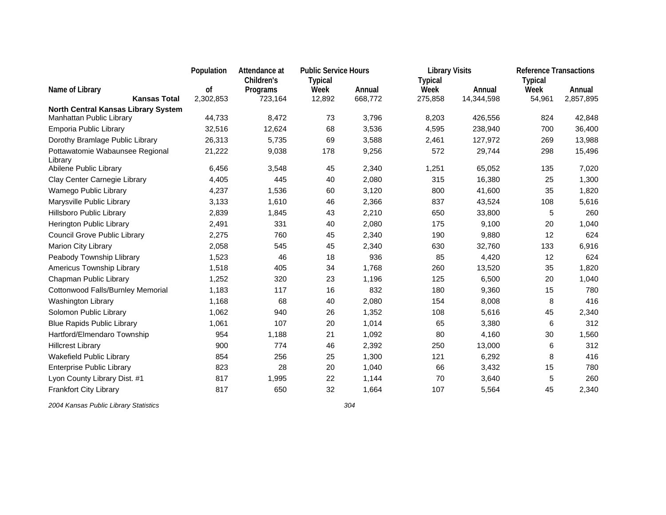|                                                                 | Population | <b>Public Service Hours</b><br>Attendance at |                |         | <b>Library Visits</b> |            | <b>Reference Transactions</b> |           |
|-----------------------------------------------------------------|------------|----------------------------------------------|----------------|---------|-----------------------|------------|-------------------------------|-----------|
|                                                                 |            | Children's                                   | <b>Typical</b> |         | <b>Typical</b>        |            | <b>Typical</b>                |           |
| Name of Library                                                 | οf         | Programs                                     | Week           | Annual  | Week                  | Annual     | Week                          | Annual    |
| <b>Kansas Total</b>                                             | 2,302,853  | 723,164                                      | 12,892         | 668,772 | 275,858               | 14,344,598 | 54,961                        | 2,857,895 |
| North Central Kansas Library System<br>Manhattan Public Library | 44,733     | 8,472                                        | 73             | 3,796   | 8,203                 | 426,556    | 824                           | 42,848    |
| Emporia Public Library                                          | 32,516     | 12,624                                       | 68             | 3,536   | 4,595                 | 238,940    | 700                           | 36,400    |
| Dorothy Bramlage Public Library                                 | 26,313     | 5,735                                        | 69             | 3,588   | 2,461                 | 127,972    | 269                           | 13,988    |
| Pottawatomie Wabaunsee Regional                                 | 21,222     | 9,038                                        | 178            | 9,256   | 572                   | 29,744     | 298                           | 15,496    |
| Library                                                         |            |                                              |                |         |                       |            |                               |           |
| Abilene Public Library                                          | 6,456      | 3,548                                        | 45             | 2,340   | 1,251                 | 65,052     | 135                           | 7,020     |
| Clay Center Carnegie Library                                    | 4,405      | 445                                          | 40             | 2,080   | 315                   | 16,380     | 25                            | 1,300     |
| Wamego Public Library                                           | 4,237      | 1,536                                        | 60             | 3,120   | 800                   | 41,600     | 35                            | 1,820     |
| Marysville Public Library                                       | 3,133      | 1,610                                        | 46             | 2,366   | 837                   | 43,524     | 108                           | 5,616     |
| Hillsboro Public Library                                        | 2,839      | 1,845                                        | 43             | 2,210   | 650                   | 33,800     | 5                             | 260       |
| Herington Public Library                                        | 2,491      | 331                                          | 40             | 2,080   | 175                   | 9,100      | 20                            | 1,040     |
| Council Grove Public Library                                    | 2,275      | 760                                          | 45             | 2,340   | 190                   | 9,880      | 12                            | 624       |
| Marion City Library                                             | 2,058      | 545                                          | 45             | 2,340   | 630                   | 32,760     | 133                           | 6,916     |
| Peabody Township Llibrary                                       | 1,523      | 46                                           | 18             | 936     | 85                    | 4,420      | 12                            | 624       |
| Americus Township Library                                       | 1,518      | 405                                          | 34             | 1,768   | 260                   | 13,520     | 35                            | 1,820     |
| Chapman Public Library                                          | 1,252      | 320                                          | 23             | 1,196   | 125                   | 6,500      | 20                            | 1,040     |
| Cottonwood Falls/Burnley Memorial                               | 1,183      | 117                                          | 16             | 832     | 180                   | 9,360      | 15                            | 780       |
| Washington Library                                              | 1,168      | 68                                           | 40             | 2,080   | 154                   | 8,008      | 8                             | 416       |
| Solomon Public Library                                          | 1,062      | 940                                          | 26             | 1,352   | 108                   | 5,616      | 45                            | 2,340     |
| <b>Blue Rapids Public Library</b>                               | 1,061      | 107                                          | 20             | 1,014   | 65                    | 3,380      | 6                             | 312       |
| Hartford/Elmendaro Township                                     | 954        | 1,188                                        | 21             | 1,092   | 80                    | 4,160      | 30                            | 1,560     |
| <b>Hillcrest Library</b>                                        | 900        | 774                                          | 46             | 2,392   | 250                   | 13,000     | 6                             | 312       |
| Wakefield Public Library                                        | 854        | 256                                          | 25             | 1,300   | 121                   | 6,292      | 8                             | 416       |
| <b>Enterprise Public Library</b>                                | 823        | 28                                           | 20             | 1,040   | 66                    | 3,432      | 15                            | 780       |
| Lyon County Library Dist. #1                                    | 817        | 1,995                                        | 22             | 1,144   | 70                    | 3,640      | 5                             | 260       |
| <b>Frankfort City Library</b>                                   | 817        | 650                                          | 32             | 1,664   | 107                   | 5,564      | 45                            | 2,340     |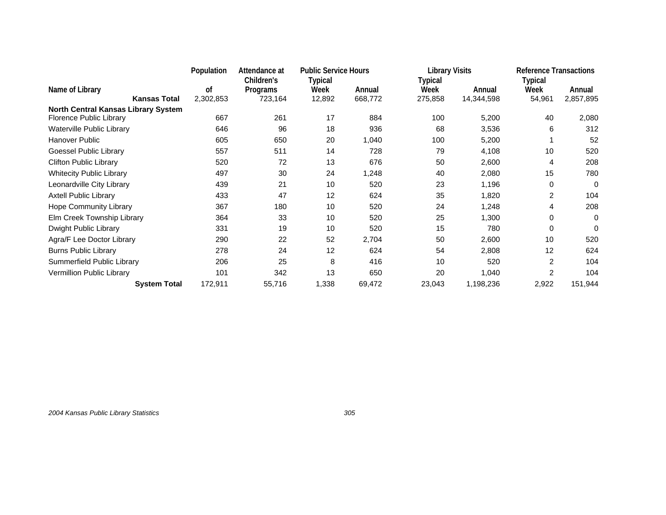|                                                                | Population<br><b>Public Service Hours</b><br>Attendance at<br>Children's<br>Typical |          | <b>Library Visits</b> |         | <b>Reference Transactions</b> |            |                 |           |
|----------------------------------------------------------------|-------------------------------------------------------------------------------------|----------|-----------------------|---------|-------------------------------|------------|-----------------|-----------|
| Name of Library<br><b>Kansas Total</b>                         | οf<br>2,302,853                                                                     | Programs | Week                  | Annual  | Typical<br>Week               | Annual     | Typical<br>Week | Annual    |
|                                                                |                                                                                     | 723,164  | 12,892                | 668,772 | 275,858                       | 14,344,598 | 54,961          | 2,857,895 |
| North Central Kansas Library System<br>Florence Public Library | 667                                                                                 | 261      | 17                    | 884     | 100                           |            | 40              |           |
|                                                                |                                                                                     |          |                       |         |                               | 5,200      |                 | 2,080     |
| Waterville Public Library                                      | 646                                                                                 | 96       | 18                    | 936     | 68                            | 3,536      | 6               | 312       |
| Hanover Public                                                 | 605                                                                                 | 650      | 20                    | 1,040   | 100                           | 5,200      |                 | 52        |
| Goessel Public Library                                         | 557                                                                                 | 511      | 14                    | 728     | 79                            | 4,108      | 10              | 520       |
| <b>Clifton Public Library</b>                                  | 520                                                                                 | 72       | 13                    | 676     | 50                            | 2,600      | 4               | 208       |
| <b>Whitecity Public Library</b>                                | 497                                                                                 | 30       | 24                    | 1,248   | 40                            | 2,080      | 15              | 780       |
| Leonardville City Library                                      | 439                                                                                 | 21       | 10                    | 520     | 23                            | 1,196      | 0               | 0         |
| <b>Axtell Public Library</b>                                   | 433                                                                                 | 47       | 12                    | 624     | 35                            | 1,820      | $\overline{2}$  | 104       |
| <b>Hope Community Library</b>                                  | 367                                                                                 | 180      | 10                    | 520     | 24                            | 1,248      | 4               | 208       |
| Elm Creek Township Library                                     | 364                                                                                 | 33       | 10                    | 520     | 25                            | 1,300      | 0               | 0         |
| Dwight Public Library                                          | 331                                                                                 | 19       | 10                    | 520     | 15                            | 780        | 0               | 0         |
| Agra/F Lee Doctor Library                                      | 290                                                                                 | 22       | 52                    | 2,704   | 50                            | 2,600      | 10              | 520       |
| <b>Burns Public Library</b>                                    | 278                                                                                 | 24       | 12                    | 624     | 54                            | 2,808      | 12              | 624       |
| Summerfield Public Library                                     | 206                                                                                 | 25       | 8                     | 416     | 10                            | 520        | 2               | 104       |
| Vermillion Public Library                                      | 101                                                                                 | 342      | 13                    | 650     | 20                            | 1,040      | 2               | 104       |
| <b>System Total</b>                                            | 172,911                                                                             | 55,716   | 1,338                 | 69,472  | 23,043                        | 1,198,236  | 2,922           | 151,944   |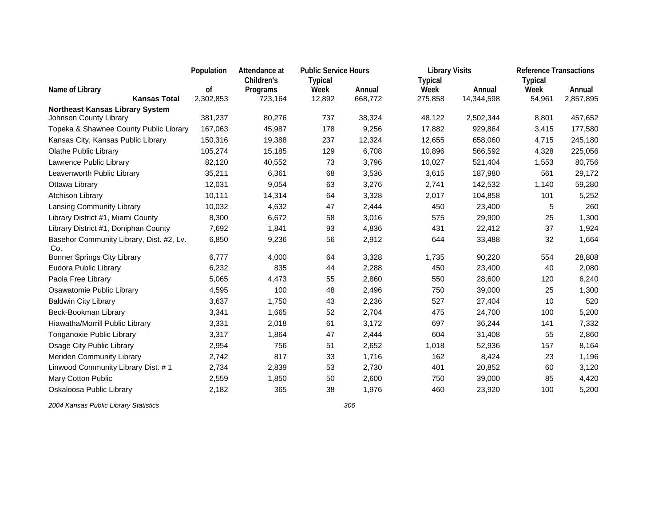|                                                 | Population | Attendance at | <b>Public Service Hours</b> |         | <b>Library Visits</b> |            | <b>Reference Transactions</b> |           |
|-------------------------------------------------|------------|---------------|-----------------------------|---------|-----------------------|------------|-------------------------------|-----------|
|                                                 |            | Children's    | <b>Typical</b>              |         | <b>Typical</b>        |            | <b>Typical</b>                |           |
| Name of Library                                 | оf         | Programs      | Week                        | Annual  | Week                  | Annual     | Week                          | Annual    |
| <b>Kansas Total</b>                             | 2,302,853  | 723,164       | 12,892                      | 668,772 | 275,858               | 14,344,598 | 54,961                        | 2,857,895 |
| <b>Northeast Kansas Library System</b>          |            |               |                             |         |                       |            |                               |           |
| Johnson County Library                          | 381,237    | 80,276        | 737                         | 38,324  | 48,122                | 2,502,344  | 8,801                         | 457,652   |
| Topeka & Shawnee County Public Library          | 167,063    | 45,987        | 178                         | 9,256   | 17,882                | 929,864    | 3,415                         | 177,580   |
| Kansas City, Kansas Public Library              | 150,316    | 19,388        | 237                         | 12,324  | 12,655                | 658,060    | 4,715                         | 245,180   |
| <b>Olathe Public Library</b>                    | 105,274    | 15,185        | 129                         | 6,708   | 10,896                | 566,592    | 4,328                         | 225,056   |
| Lawrence Public Library                         | 82,120     | 40,552        | 73                          | 3,796   | 10,027                | 521,404    | 1,553                         | 80,756    |
| Leavenworth Public Library                      | 35,211     | 6,361         | 68                          | 3,536   | 3,615                 | 187,980    | 561                           | 29,172    |
| Ottawa Library                                  | 12,031     | 9,054         | 63                          | 3,276   | 2,741                 | 142,532    | 1,140                         | 59,280    |
| Atchison Library                                | 10,111     | 14,314        | 64                          | 3,328   | 2,017                 | 104,858    | 101                           | 5,252     |
| Lansing Community Library                       | 10,032     | 4,632         | 47                          | 2,444   | 450                   | 23,400     | 5                             | 260       |
| Library District #1, Miami County               | 8,300      | 6,672         | 58                          | 3,016   | 575                   | 29,900     | 25                            | 1,300     |
| Library District #1, Doniphan County            | 7,692      | 1,841         | 93                          | 4,836   | 431                   | 22,412     | 37                            | 1,924     |
| Basehor Community Library, Dist. #2, Lv.<br>Co. | 6,850      | 9,236         | 56                          | 2,912   | 644                   | 33,488     | 32                            | 1,664     |
| Bonner Springs City Library                     | 6,777      | 4,000         | 64                          | 3,328   | 1,735                 | 90,220     | 554                           | 28,808    |
| Eudora Public Library                           | 6,232      | 835           | 44                          | 2,288   | 450                   | 23,400     | 40                            | 2,080     |
| Paola Free Library                              | 5,065      | 4,473         | 55                          | 2,860   | 550                   | 28,600     | 120                           | 6,240     |
| Osawatomie Public Library                       | 4,595      | 100           | 48                          | 2,496   | 750                   | 39,000     | 25                            | 1,300     |
| <b>Baldwin City Library</b>                     | 3,637      | 1,750         | 43                          | 2,236   | 527                   | 27,404     | 10                            | 520       |
| Beck-Bookman Library                            | 3,341      | 1,665         | 52                          | 2,704   | 475                   | 24,700     | 100                           | 5,200     |
| Hiawatha/Morrill Public Library                 | 3,331      | 2,018         | 61                          | 3,172   | 697                   | 36,244     | 141                           | 7,332     |
| Tonganoxie Public Library                       | 3,317      | 1,864         | 47                          | 2,444   | 604                   | 31,408     | 55                            | 2,860     |
| Osage City Public Library                       | 2,954      | 756           | 51                          | 2,652   | 1,018                 | 52,936     | 157                           | 8,164     |
| Meriden Community Library                       | 2,742      | 817           | 33                          | 1,716   | 162                   | 8,424      | 23                            | 1,196     |
| Linwood Community Library Dist. #1              | 2,734      | 2,839         | 53                          | 2,730   | 401                   | 20,852     | 60                            | 3,120     |
| Mary Cotton Public                              | 2,559      | 1,850         | 50                          | 2,600   | 750                   | 39,000     | 85                            | 4,420     |
| Oskaloosa Public Library                        | 2,182      | 365           | 38                          | 1,976   | 460                   | 23,920     | 100                           | 5,200     |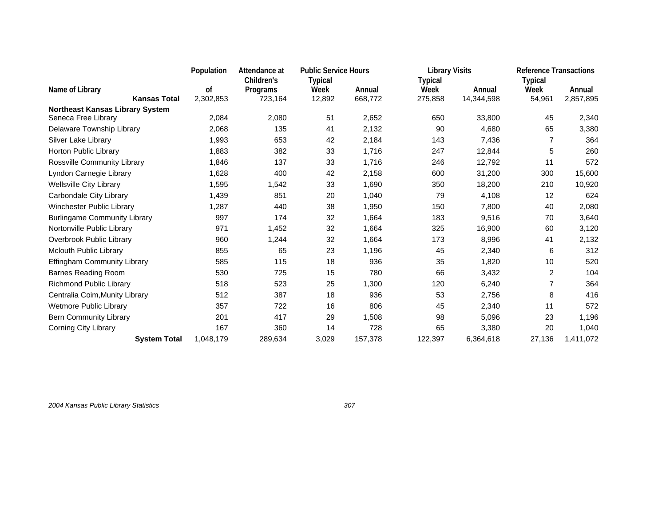|                                        | Population      | Attendance at                     | <b>Public Service Hours</b>      |                   | <b>Library Visits</b>             |                      | <b>Reference Transactions</b> |                     |
|----------------------------------------|-----------------|-----------------------------------|----------------------------------|-------------------|-----------------------------------|----------------------|-------------------------------|---------------------|
| Name of Library<br><b>Kansas Total</b> | οf<br>2,302,853 | Children's<br>Programs<br>723,164 | <b>Typical</b><br>Week<br>12,892 | Annual<br>668,772 | <b>Typical</b><br>Week<br>275,858 | Annual<br>14,344,598 | Typical<br>Week<br>54,961     | Annual<br>2,857,895 |
| <b>Northeast Kansas Library System</b> |                 |                                   |                                  |                   |                                   |                      |                               |                     |
| Seneca Free Library                    | 2,084           | 2,080                             | 51                               | 2,652             | 650                               | 33,800               | 45                            | 2,340               |
| Delaware Township Library              | 2,068           | 135                               | 41                               | 2,132             | 90                                | 4,680                | 65                            | 3,380               |
| Silver Lake Library                    | 1,993           | 653                               | 42                               | 2,184             | 143                               | 7,436                | 7                             | 364                 |
| Horton Public Library                  | 1,883           | 382                               | 33                               | 1,716             | 247                               | 12,844               | 5                             | 260                 |
| Rossville Community Library            | 1,846           | 137                               | 33                               | 1,716             | 246                               | 12,792               | 11                            | 572                 |
| Lyndon Carnegie Library                | 1,628           | 400                               | 42                               | 2,158             | 600                               | 31,200               | 300                           | 15,600              |
| <b>Wellsville City Library</b>         | 1,595           | 1,542                             | 33                               | 1,690             | 350                               | 18,200               | 210                           | 10,920              |
| Carbondale City Library                | 1,439           | 851                               | 20                               | 1,040             | 79                                | 4,108                | 12                            | 624                 |
| Winchester Public Library              | 1,287           | 440                               | 38                               | 1,950             | 150                               | 7,800                | 40                            | 2,080               |
| <b>Burlingame Community Library</b>    | 997             | 174                               | 32                               | 1,664             | 183                               | 9,516                | 70                            | 3,640               |
| Nortonville Public Library             | 971             | 1,452                             | 32                               | 1,664             | 325                               | 16,900               | 60                            | 3,120               |
| Overbrook Public Library               | 960             | 1,244                             | 32                               | 1,664             | 173                               | 8,996                | 41                            | 2,132               |
| Mclouth Public Library                 | 855             | 65                                | 23                               | 1,196             | 45                                | 2,340                | 6                             | 312                 |
| Effingham Community Library            | 585             | 115                               | 18                               | 936               | 35                                | 1,820                | 10                            | 520                 |
| <b>Barnes Reading Room</b>             | 530             | 725                               | 15                               | 780               | 66                                | 3,432                | 2                             | 104                 |
| Richmond Public Library                | 518             | 523                               | 25                               | 1,300             | 120                               | 6,240                | $\overline{7}$                | 364                 |
| Centralia Coim, Munity Library         | 512             | 387                               | 18                               | 936               | 53                                | 2,756                | 8                             | 416                 |
| Wetmore Public Library                 | 357             | 722                               | 16                               | 806               | 45                                | 2,340                | 11                            | 572                 |
| <b>Bern Community Library</b>          | 201             | 417                               | 29                               | 1,508             | 98                                | 5,096                | 23                            | 1,196               |
| Corning City Library                   | 167             | 360                               | 14                               | 728               | 65                                | 3,380                | 20                            | 1,040               |
| <b>System Total</b>                    | 1,048,179       | 289,634                           | 3,029                            | 157,378           | 122,397                           | 6,364,618            | 27,136                        | 1,411,072           |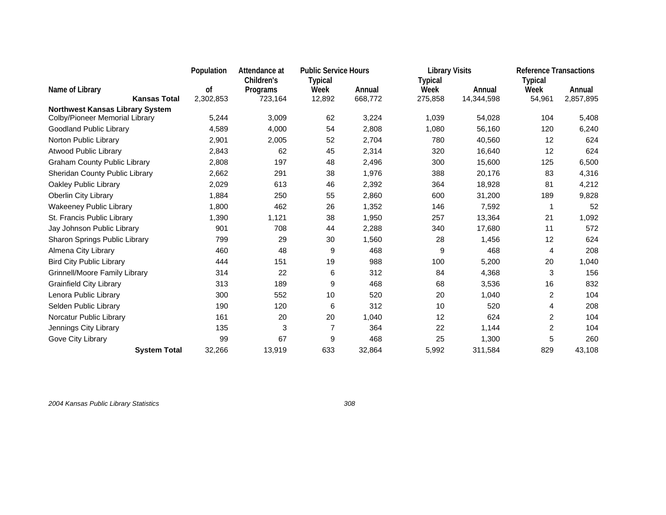|                                                                          | Population | Attendance at | <b>Public Service Hours</b> |         | <b>Library Visits</b> |            | <b>Reference Transactions</b> |           |
|--------------------------------------------------------------------------|------------|---------------|-----------------------------|---------|-----------------------|------------|-------------------------------|-----------|
|                                                                          |            | Children's    | <b>Typical</b>              |         | <b>Typical</b>        |            | <b>Typical</b>                |           |
| Name of Library                                                          | οf         | Programs      | Week                        | Annual  | Week                  | Annual     | Week                          | Annual    |
| <b>Kansas Total</b>                                                      | 2,302,853  | 723,164       | 12,892                      | 668,772 | 275,858               | 14,344,598 | 54,961                        | 2,857,895 |
| <b>Northwest Kansas Library System</b><br>Colby/Pioneer Memorial Library | 5,244      | 3,009         | 62                          | 3,224   | 1,039                 | 54,028     | 104                           | 5,408     |
| Goodland Public Library                                                  | 4,589      | 4,000         | 54                          | 2,808   | 1,080                 | 56,160     | 120                           | 6,240     |
| Norton Public Library                                                    | 2,901      | 2,005         | 52                          | 2,704   | 780                   | 40,560     | 12                            | 624       |
| Atwood Public Library                                                    | 2,843      | 62            | 45                          | 2,314   | 320                   | 16,640     | 12                            | 624       |
| <b>Graham County Public Library</b>                                      | 2,808      | 197           | 48                          | 2,496   | 300                   | 15,600     | 125                           | 6,500     |
| Sheridan County Public Library                                           | 2,662      | 291           | 38                          | 1,976   | 388                   | 20,176     | 83                            | 4,316     |
| Oakley Public Library                                                    | 2,029      | 613           | 46                          | 2,392   | 364                   | 18,928     | 81                            | 4,212     |
| Oberlin City Library                                                     | 1,884      | 250           | 55                          | 2,860   | 600                   | 31,200     | 189                           | 9,828     |
| <b>Wakeeney Public Library</b>                                           | 1,800      | 462           | 26                          | 1,352   | 146                   | 7,592      | 1                             | 52        |
| St. Francis Public Library                                               | 1,390      | 1,121         | 38                          | 1,950   | 257                   | 13,364     | 21                            | 1,092     |
| Jay Johnson Public Library                                               | 901        | 708           | 44                          | 2,288   | 340                   | 17,680     | 11                            | 572       |
| Sharon Springs Public Library                                            | 799        | 29            | 30                          | 1,560   | 28                    | 1,456      | 12                            | 624       |
| Almena City Library                                                      | 460        | 48            | 9                           | 468     | 9                     | 468        | 4                             | 208       |
| <b>Bird City Public Library</b>                                          | 444        | 151           | 19                          | 988     | 100                   | 5,200      | 20                            | 1,040     |
| Grinnell/Moore Family Library                                            | 314        | 22            | 6                           | 312     | 84                    | 4,368      | 3                             | 156       |
| <b>Grainfield City Library</b>                                           | 313        | 189           | 9                           | 468     | 68                    | 3,536      | 16                            | 832       |
| Lenora Public Library                                                    | 300        | 552           | 10                          | 520     | 20                    | 1,040      | 2                             | 104       |
| Selden Public Library                                                    | 190        | 120           | 6                           | 312     | 10                    | 520        | 4                             | 208       |
| Norcatur Public Library                                                  | 161        | 20            | 20                          | 1,040   | 12                    | 624        | 2                             | 104       |
| Jennings City Library                                                    | 135        | 3             | $\overline{7}$              | 364     | 22                    | 1,144      | $\overline{c}$                | 104       |
| Gove City Library                                                        | 99         | 67            | 9                           | 468     | 25                    | 1,300      | 5                             | 260       |
| <b>System Total</b>                                                      | 32,266     | 13,919        | 633                         | 32,864  | 5,992                 | 311,584    | 829                           | 43,108    |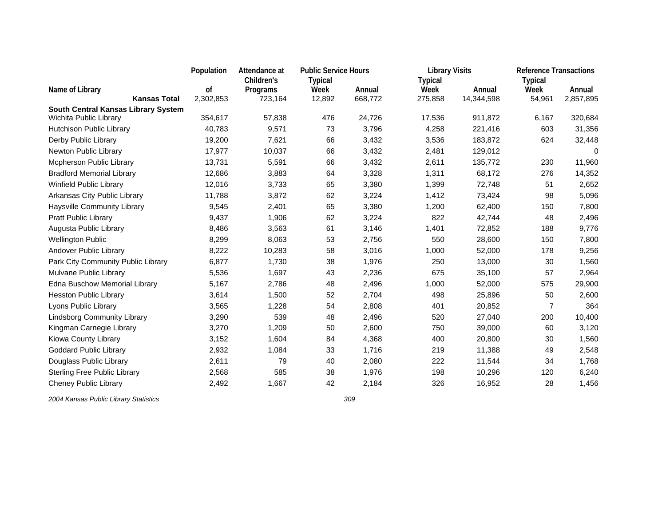|                                                               | Population | Attendance at |                | <b>Public Service Hours</b> |                | <b>Library Visits</b> | <b>Reference Transactions</b> |           |
|---------------------------------------------------------------|------------|---------------|----------------|-----------------------------|----------------|-----------------------|-------------------------------|-----------|
|                                                               |            | Children's    | <b>Typical</b> |                             | <b>Typical</b> |                       | <b>Typical</b>                |           |
| Name of Library                                               | οf         | Programs      | Week           | Annual                      | Week           | Annual                | Week                          | Annual    |
| <b>Kansas Total</b>                                           | 2,302,853  | 723,164       | 12,892         | 668,772                     | 275,858        | 14,344,598            | 54,961                        | 2,857,895 |
| South Central Kansas Library System<br>Wichita Public Library | 354,617    | 57,838        | 476            | 24,726                      | 17,536         | 911,872               | 6,167                         | 320,684   |
| Hutchison Public Library                                      | 40,783     | 9,571         | 73             | 3,796                       | 4,258          |                       | 603                           | 31,356    |
|                                                               |            |               |                |                             |                | 221,416               |                               |           |
| Derby Public Library                                          | 19,200     | 7,621         | 66             | 3,432                       | 3,536          | 183,872               | 624                           | 32,448    |
| Newton Public Library                                         | 17,977     | 10,037        | 66             | 3,432                       | 2,481          | 129,012               |                               | 0         |
| <b>Mcpherson Public Library</b>                               | 13,731     | 5,591         | 66             | 3,432                       | 2,611          | 135,772               | 230                           | 11,960    |
| <b>Bradford Memorial Library</b>                              | 12,686     | 3,883         | 64             | 3,328                       | 1,311          | 68,172                | 276                           | 14,352    |
| Winfield Public Library                                       | 12,016     | 3,733         | 65             | 3,380                       | 1,399          | 72,748                | 51                            | 2,652     |
| Arkansas City Public Library                                  | 11,788     | 3,872         | 62             | 3,224                       | 1,412          | 73,424                | 98                            | 5,096     |
| <b>Haysville Community Library</b>                            | 9,545      | 2,401         | 65             | 3,380                       | 1,200          | 62,400                | 150                           | 7,800     |
| <b>Pratt Public Library</b>                                   | 9,437      | 1,906         | 62             | 3,224                       | 822            | 42,744                | 48                            | 2,496     |
| Augusta Public Library                                        | 8,486      | 3,563         | 61             | 3,146                       | 1,401          | 72,852                | 188                           | 9,776     |
| <b>Wellington Public</b>                                      | 8,299      | 8,063         | 53             | 2,756                       | 550            | 28,600                | 150                           | 7,800     |
| Andover Public Library                                        | 8,222      | 10,283        | 58             | 3,016                       | 1,000          | 52,000                | 178                           | 9,256     |
| Park City Community Public Library                            | 6,877      | 1,730         | 38             | 1,976                       | 250            | 13,000                | 30                            | 1,560     |
| Mulvane Public Library                                        | 5,536      | 1,697         | 43             | 2,236                       | 675            | 35,100                | 57                            | 2,964     |
| Edna Buschow Memorial Library                                 | 5,167      | 2,786         | 48             | 2,496                       | 1,000          | 52,000                | 575                           | 29,900    |
| <b>Hesston Public Library</b>                                 | 3,614      | 1,500         | 52             | 2,704                       | 498            | 25,896                | 50                            | 2,600     |
| Lyons Public Library                                          | 3,565      | 1,228         | 54             | 2,808                       | 401            | 20,852                | $\overline{7}$                | 364       |
| <b>Lindsborg Community Library</b>                            | 3,290      | 539           | 48             | 2,496                       | 520            | 27,040                | 200                           | 10,400    |
| Kingman Carnegie Library                                      | 3,270      | 1,209         | 50             | 2,600                       | 750            | 39,000                | 60                            | 3,120     |
| Kiowa County Library                                          | 3,152      | 1,604         | 84             | 4,368                       | 400            | 20,800                | 30                            | 1,560     |
| <b>Goddard Public Library</b>                                 | 2,932      | 1,084         | 33             | 1,716                       | 219            | 11,388                | 49                            | 2,548     |
| Douglass Public Library                                       | 2,611      | 79            | 40             | 2,080                       | 222            | 11,544                | 34                            | 1,768     |
| <b>Sterling Free Public Library</b>                           | 2,568      | 585           | 38             | 1,976                       | 198            | 10,296                | 120                           | 6,240     |
| Cheney Public Library                                         | 2,492      | 1,667         | 42             | 2,184                       | 326            | 16,952                | 28                            | 1,456     |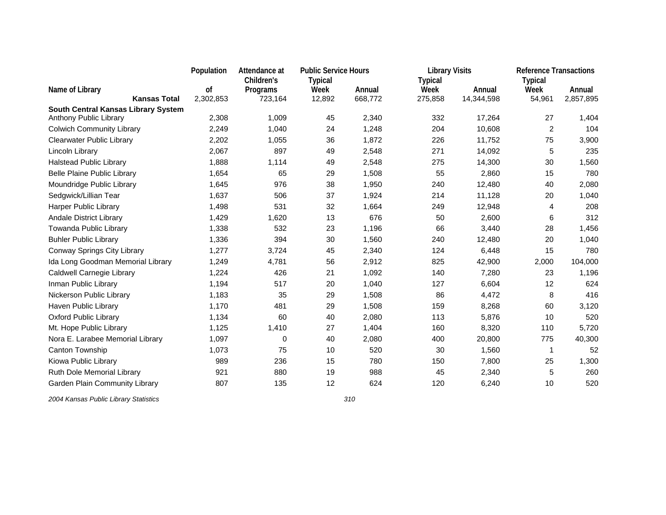|                                     | Population | Attendance at | <b>Public Service Hours</b> |         | <b>Library Visits</b> |            | <b>Reference Transactions</b> |           |
|-------------------------------------|------------|---------------|-----------------------------|---------|-----------------------|------------|-------------------------------|-----------|
|                                     |            | Children's    | <b>Typical</b>              |         | <b>Typical</b>        |            | <b>Typical</b>                |           |
| Name of Library                     | оf         | Programs      | Week                        | Annual  | Week                  | Annual     | Week                          | Annual    |
| <b>Kansas Total</b>                 | 2,302,853  | 723,164       | 12,892                      | 668,772 | 275,858               | 14,344,598 | 54,961                        | 2,857,895 |
| South Central Kansas Library System |            |               |                             |         |                       |            |                               |           |
| Anthony Public Library              | 2,308      | 1,009         | 45                          | 2,340   | 332                   | 17,264     | 27                            | 1,404     |
| <b>Colwich Community Library</b>    | 2,249      | 1,040         | 24                          | 1,248   | 204                   | 10,608     | $\overline{c}$                | 104       |
| <b>Clearwater Public Library</b>    | 2,202      | 1,055         | 36                          | 1,872   | 226                   | 11,752     | 75                            | 3,900     |
| Lincoln Library                     | 2,067      | 897           | 49                          | 2,548   | 271                   | 14,092     | 5                             | 235       |
| <b>Halstead Public Library</b>      | 1,888      | 1,114         | 49                          | 2,548   | 275                   | 14,300     | 30                            | 1,560     |
| <b>Belle Plaine Public Library</b>  | 1,654      | 65            | 29                          | 1,508   | 55                    | 2,860      | 15                            | 780       |
| Moundridge Public Library           | 1,645      | 976           | 38                          | 1,950   | 240                   | 12,480     | 40                            | 2,080     |
| Sedgwick/Lillian Tear               | 1,637      | 506           | 37                          | 1,924   | 214                   | 11,128     | 20                            | 1,040     |
| Harper Public Library               | 1,498      | 531           | 32                          | 1,664   | 249                   | 12,948     | 4                             | 208       |
| <b>Andale District Library</b>      | 1,429      | 1,620         | 13                          | 676     | 50                    | 2,600      | 6                             | 312       |
| Towanda Public Library              | 1,338      | 532           | 23                          | 1,196   | 66                    | 3,440      | 28                            | 1,456     |
| <b>Buhler Public Library</b>        | 1,336      | 394           | 30                          | 1,560   | 240                   | 12,480     | 20                            | 1,040     |
| Conway Springs City Library         | 1,277      | 3,724         | 45                          | 2,340   | 124                   | 6,448      | 15                            | 780       |
| Ida Long Goodman Memorial Library   | 1,249      | 4,781         | 56                          | 2,912   | 825                   | 42,900     | 2,000                         | 104,000   |
| Caldwell Carnegie Library           | 1,224      | 426           | 21                          | 1,092   | 140                   | 7,280      | 23                            | 1,196     |
| Inman Public Library                | 1,194      | 517           | 20                          | 1,040   | 127                   | 6,604      | 12                            | 624       |
| Nickerson Public Library            | 1,183      | 35            | 29                          | 1,508   | 86                    | 4,472      | 8                             | 416       |
| Haven Public Library                | 1,170      | 481           | 29                          | 1,508   | 159                   | 8,268      | 60                            | 3,120     |
| <b>Oxford Public Library</b>        | 1,134      | 60            | 40                          | 2,080   | 113                   | 5,876      | 10                            | 520       |
| Mt. Hope Public Library             | 1,125      | 1,410         | 27                          | 1,404   | 160                   | 8,320      | 110                           | 5,720     |
| Nora E. Larabee Memorial Library    | 1,097      | 0             | 40                          | 2,080   | 400                   | 20,800     | 775                           | 40,300    |
| Canton Township                     | 1,073      | 75            | 10                          | 520     | 30                    | 1,560      | $\mathbf{1}$                  | 52        |
| Kiowa Public Library                | 989        | 236           | 15                          | 780     | 150                   | 7,800      | 25                            | 1,300     |
| Ruth Dole Memorial Library          | 921        | 880           | 19                          | 988     | 45                    | 2,340      | 5                             | 260       |
| Garden Plain Community Library      | 807        | 135           | 12                          | 624     | 120                   | 6,240      | 10                            | 520       |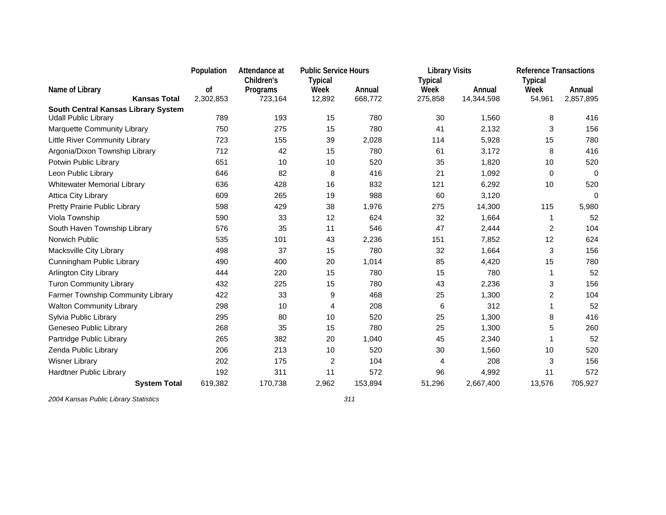|                                                                    | Population | Attendance at | <b>Public Service Hours</b> |         | <b>Library Visits</b> |            | <b>Reference Transactions</b> |             |
|--------------------------------------------------------------------|------------|---------------|-----------------------------|---------|-----------------------|------------|-------------------------------|-------------|
|                                                                    |            | Children's    | <b>Typical</b>              |         | <b>Typical</b>        |            | <b>Typical</b>                |             |
| Name of Library<br><b>Kansas Total</b>                             | οf         | Programs      | Week                        | Annual  | Week                  | Annual     | Week                          | Annual      |
|                                                                    | 2,302,853  | 723,164       | 12,892                      | 668,772 | 275,858               | 14,344,598 | 54,961                        | 2,857,895   |
| South Central Kansas Library System<br><b>Udall Public Library</b> | 789        | 193           | 15                          | 780     | 30                    | 1,560      | 8                             | 416         |
| Marquette Community Library                                        | 750        | 275           | 15                          | 780     | 41                    | 2,132      | 3                             | 156         |
| Little River Community Library                                     | 723        | 155           | 39                          | 2,028   | 114                   | 5,928      | 15                            | 780         |
| Argonia/Dixon Township Library                                     | 712        | 42            | 15                          | 780     | 61                    | 3,172      | 8                             | 416         |
| Potwin Public Library                                              | 651        | 10            | 10                          | 520     | 35                    | 1,820      | 10                            | 520         |
| Leon Public Library                                                | 646        | 82            | 8                           | 416     | 21                    | 1,092      | 0                             | $\Omega$    |
| <b>Whitewater Memorial Library</b>                                 | 636        | 428           | 16                          | 832     | 121                   | 6,292      | 10                            | 520         |
| <b>Attica City Library</b>                                         | 609        | 265           | 19                          | 988     | 60                    | 3,120      |                               | $\mathbf 0$ |
| Pretty Prairie Public Library                                      | 598        | 429           | 38                          | 1,976   | 275                   | 14,300     | 115                           | 5,980       |
| Viola Township                                                     | 590        | 33            | 12                          | 624     | 32                    | 1,664      | 1                             | 52          |
| South Haven Township Library                                       | 576        | 35            | 11                          | 546     | 47                    | 2,444      | 2                             | 104         |
| Norwich Public                                                     | 535        | 101           | 43                          | 2,236   | 151                   | 7,852      | 12                            | 624         |
| Macksville City Library                                            | 498        | 37            | 15                          | 780     | 32                    | 1,664      | 3                             | 156         |
| Cunningham Public Library                                          | 490        | 400           | 20                          | 1,014   | 85                    | 4,420      | 15                            | 780         |
| <b>Arlington City Library</b>                                      | 444        | 220           | 15                          | 780     | 15                    | 780        | 1                             | 52          |
| <b>Turon Community Library</b>                                     | 432        | 225           | 15                          | 780     | 43                    | 2,236      | 3                             | 156         |
| Farmer Township Community Library                                  | 422        | 33            | 9                           | 468     | 25                    | 1,300      | $\overline{c}$                | 104         |
| <b>Walton Community Library</b>                                    | 298        | 10            | 4                           | 208     | 6                     | 312        | 1                             | 52          |
| Sylvia Public Library                                              | 295        | 80            | 10                          | 520     | 25                    | 1,300      | 8                             | 416         |
| Geneseo Public Library                                             | 268        | 35            | 15                          | 780     | 25                    | 1,300      | 5                             | 260         |
| Partridge Public Library                                           | 265        | 382           | 20                          | 1,040   | 45                    | 2,340      | 1                             | 52          |
| Zenda Public Library                                               | 206        | 213           | 10                          | 520     | 30                    | 1,560      | 10                            | 520         |
| <b>Wisner Library</b>                                              | 202        | 175           | 2                           | 104     | 4                     | 208        | 3                             | 156         |
| Hardtner Public Library                                            | 192        | 311           | 11                          | 572     | 96                    | 4,992      | 11                            | 572         |
| <b>System Total</b>                                                | 619,382    | 170.738       | 2,962                       | 153,894 | 51,296                | 2,667,400  | 13,576                        | 705,927     |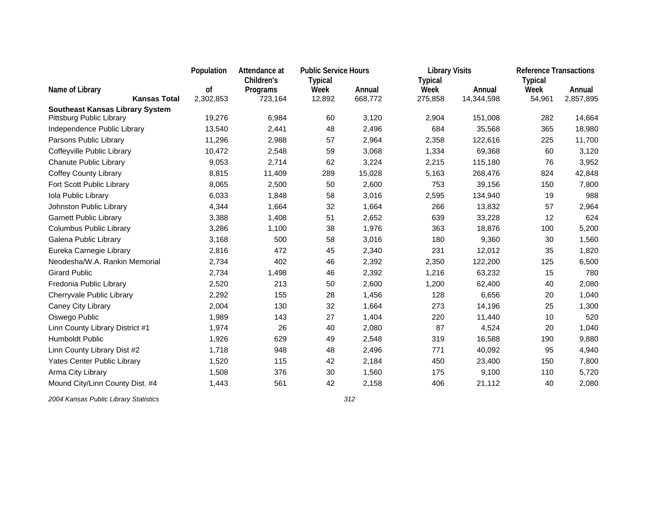|                                        |                     | Population | Attendance at | <b>Public Service Hours</b> |         | <b>Library Visits</b> |            | <b>Reference Transactions</b> |           |
|----------------------------------------|---------------------|------------|---------------|-----------------------------|---------|-----------------------|------------|-------------------------------|-----------|
|                                        |                     |            | Children's    | <b>Typical</b>              |         | <b>Typical</b>        |            | <b>Typical</b>                |           |
| Name of Library                        |                     | οf         | Programs      | Week                        | Annual  | Week                  | Annual     | Week                          | Annual    |
|                                        | <b>Kansas Total</b> | 2,302,853  | 723,164       | 12,892                      | 668,772 | 275,858               | 14,344,598 | 54,961                        | 2,857,895 |
| <b>Southeast Kansas Library System</b> |                     |            |               |                             |         |                       |            |                               |           |
| Pittsburg Public Library               |                     | 19,276     | 6,984         | 60                          | 3,120   | 2,904                 | 151,008    | 282                           | 14,664    |
| Independence Public Library            |                     | 13,540     | 2,441         | 48                          | 2,496   | 684                   | 35,568     | 365                           | 18,980    |
| Parsons Public Library                 |                     | 11,296     | 2,988         | 57                          | 2,964   | 2,358                 | 122,616    | 225                           | 11,700    |
| Coffeyville Public Library             |                     | 10,472     | 2,548         | 59                          | 3,068   | 1,334                 | 69,368     | 60                            | 3,120     |
| Chanute Public Library                 |                     | 9,053      | 2,714         | 62                          | 3,224   | 2,215                 | 115,180    | 76                            | 3,952     |
| <b>Coffey County Library</b>           |                     | 8,815      | 11,409        | 289                         | 15,028  | 5,163                 | 268,476    | 824                           | 42,848    |
| Fort Scott Public Library              |                     | 8,065      | 2,500         | 50                          | 2,600   | 753                   | 39,156     | 150                           | 7,800     |
| Iola Public Library                    |                     | 6,033      | 1,848         | 58                          | 3,016   | 2,595                 | 134,940    | 19                            | 988       |
| Johnston Public Library                |                     | 4,344      | 1,664         | 32                          | 1,664   | 266                   | 13,832     | 57                            | 2,964     |
| <b>Garnett Public Library</b>          |                     | 3,388      | 1,408         | 51                          | 2,652   | 639                   | 33,228     | 12                            | 624       |
| <b>Columbus Public Library</b>         |                     | 3,286      | 1,100         | 38                          | 1,976   | 363                   | 18,876     | 100                           | 5,200     |
| Galena Public Library                  |                     | 3,168      | 500           | 58                          | 3,016   | 180                   | 9,360      | 30                            | 1,560     |
| Eureka Carnegie Library                |                     | 2,816      | 472           | 45                          | 2,340   | 231                   | 12,012     | 35                            | 1,820     |
| Neodesha/W.A. Rankin Memorial          |                     | 2,734      | 402           | 46                          | 2,392   | 2,350                 | 122,200    | 125                           | 6,500     |
| <b>Girard Public</b>                   |                     | 2,734      | 1,498         | 46                          | 2,392   | 1,216                 | 63,232     | 15                            | 780       |
| Fredonia Public Library                |                     | 2,520      | 213           | 50                          | 2,600   | 1,200                 | 62,400     | 40                            | 2,080     |
| Cherryvale Public Library              |                     | 2,292      | 155           | 28                          | 1,456   | 128                   | 6,656      | 20                            | 1,040     |
| Caney City Library                     |                     | 2,004      | 130           | 32                          | 1,664   | 273                   | 14,196     | 25                            | 1,300     |
| Oswego Public                          |                     | 1,989      | 143           | 27                          | 1,404   | 220                   | 11,440     | 10                            | 520       |
| Linn County Library District #1        |                     | 1,974      | 26            | 40                          | 2,080   | 87                    | 4,524      | 20                            | 1,040     |
| Humboldt Public                        |                     | 1,926      | 629           | 49                          | 2,548   | 319                   | 16,588     | 190                           | 9,880     |
| Linn County Library Dist #2            |                     | 1,718      | 948           | 48                          | 2,496   | 771                   | 40,092     | 95                            | 4,940     |
| Yates Center Public Library            |                     | 1,520      | 115           | 42                          | 2,184   | 450                   | 23,400     | 150                           | 7,800     |
| Arma City Library                      |                     | 1,508      | 376           | 30                          | 1,560   | 175                   | 9,100      | 110                           | 5,720     |
| Mound City/Linn County Dist. #4        |                     | 1,443      | 561           | 42                          | 2,158   | 406                   | 21,112     | 40                            | 2,080     |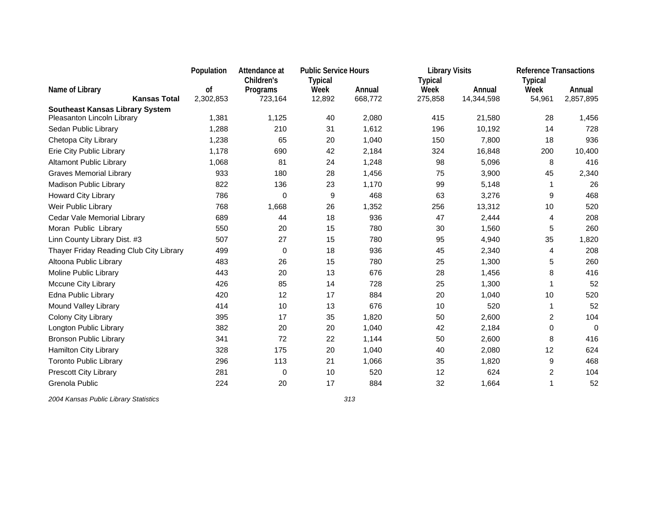|                                                                      | Population | Attendance at | <b>Public Service Hours</b> |         | <b>Library Visits</b> |            | <b>Reference Transactions</b> |           |
|----------------------------------------------------------------------|------------|---------------|-----------------------------|---------|-----------------------|------------|-------------------------------|-----------|
|                                                                      |            | Children's    | <b>Typical</b>              |         | <b>Typical</b>        |            | <b>Typical</b>                |           |
| Name of Library                                                      | of         | Programs      | Week                        | Annual  | Week                  | Annual     | Week                          | Annual    |
| <b>Kansas Total</b>                                                  | 2,302,853  | 723,164       | 12,892                      | 668,772 | 275,858               | 14,344,598 | 54,961                        | 2,857,895 |
| <b>Southeast Kansas Library System</b><br>Pleasanton Lincoln Library | 1,381      | 1,125         | 40                          | 2,080   | 415                   | 21,580     | 28                            | 1,456     |
| Sedan Public Library                                                 | 1,288      | 210           | 31                          | 1,612   | 196                   | 10,192     | 14                            | 728       |
| Chetopa City Library                                                 | 1,238      | 65            | 20                          | 1,040   | 150                   | 7,800      | 18                            | 936       |
| Erie City Public Library                                             | 1,178      | 690           | 42                          | 2,184   | 324                   | 16,848     | 200                           | 10,400    |
| <b>Altamont Public Library</b>                                       | 1,068      | 81            | 24                          | 1,248   | 98                    | 5,096      | 8                             | 416       |
| <b>Graves Memorial Library</b>                                       | 933        | 180           | 28                          | 1,456   | 75                    | 3,900      | 45                            | 2,340     |
| Madison Public Library                                               | 822        | 136           | 23                          | 1,170   | 99                    | 5,148      | -1                            | 26        |
| <b>Howard City Library</b>                                           | 786        | 0             | 9                           | 468     | 63                    | 3,276      | 9                             | 468       |
| Weir Public Library                                                  | 768        | 1,668         | 26                          | 1,352   | 256                   | 13,312     | 10                            | 520       |
| Cedar Vale Memorial Library                                          | 689        | 44            | 18                          | 936     | 47                    | 2,444      | 4                             | 208       |
| Moran Public Library                                                 | 550        | 20            | 15                          | 780     | 30                    | 1,560      | 5                             | 260       |
| Linn County Library Dist. #3                                         | 507        | 27            | 15                          | 780     | 95                    | 4,940      | 35                            | 1,820     |
| Thayer Friday Reading Club City Library                              | 499        | 0             | 18                          | 936     | 45                    | 2,340      | 4                             | 208       |
| Altoona Public Library                                               | 483        | 26            | 15                          | 780     | 25                    | 1,300      | 5                             | 260       |
| Moline Public Library                                                | 443        | 20            | 13                          | 676     | 28                    | 1,456      | 8                             | 416       |
| Mccune City Library                                                  | 426        | 85            | 14                          | 728     | 25                    | 1,300      | 1                             | 52        |
| Edna Public Library                                                  | 420        | 12            | 17                          | 884     | 20                    | 1,040      | 10                            | 520       |
| Mound Valley Library                                                 | 414        | 10            | 13                          | 676     | 10                    | 520        | $\mathbf{1}$                  | 52        |
| Colony City Library                                                  | 395        | 17            | 35                          | 1,820   | 50                    | 2,600      | 2                             | 104       |
| Longton Public Library                                               | 382        | 20            | 20                          | 1,040   | 42                    | 2,184      | 0                             | $\Omega$  |
| <b>Bronson Public Library</b>                                        | 341        | 72            | 22                          | 1,144   | 50                    | 2,600      | 8                             | 416       |
| Hamilton City Library                                                | 328        | 175           | 20                          | 1,040   | 40                    | 2,080      | 12                            | 624       |
| <b>Toronto Public Library</b>                                        | 296        | 113           | 21                          | 1,066   | 35                    | 1,820      | 9                             | 468       |
| Prescott City Library                                                | 281        | 0             | 10                          | 520     | 12                    | 624        | 2                             | 104       |
| Grenola Public                                                       | 224        | 20            | 17                          | 884     | 32                    | 1.664      | 1                             | 52        |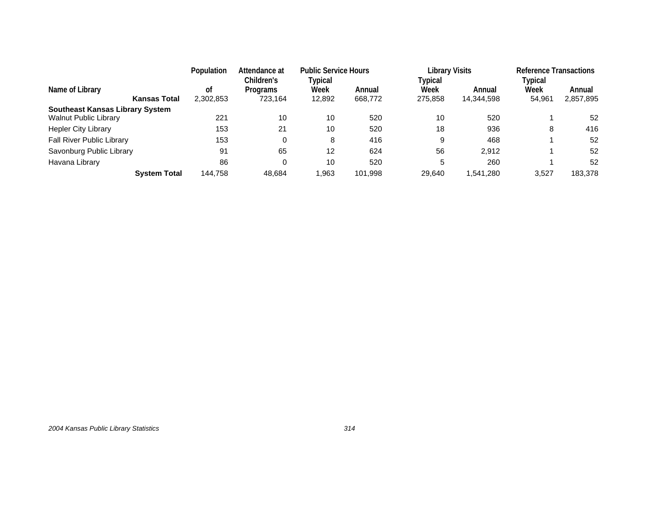|                                        | Population | Attendance at<br>Children's | <b>Public Service Hours</b><br>Typical |         | <b>Library Visits</b><br>Typical |            | <b>Reference Transactions</b><br>Typical |           |
|----------------------------------------|------------|-----------------------------|----------------------------------------|---------|----------------------------------|------------|------------------------------------------|-----------|
| Name of Library                        | οt         | Programs                    | Week                                   | Annual  | Week                             | Annual     | Week                                     | Annual    |
| <b>Kansas Total</b>                    | 2,302,853  | 723,164                     | 12,892                                 | 668,772 | 275,858                          | 14,344,598 | 54,961                                   | 2,857,895 |
| <b>Southeast Kansas Library System</b> |            |                             |                                        |         |                                  |            |                                          |           |
| <b>Walnut Public Library</b>           | 221        | 10                          | 10                                     | 520     | 10                               | 520        |                                          | 52        |
| <b>Hepler City Library</b>             | 153        | 21                          | 10                                     | 520     | 18                               | 936        | 8                                        | 416       |
| Fall River Public Library              | 153        | 0                           | 8                                      | 416     |                                  | 468        |                                          | 52        |
| Savonburg Public Library               | 91         | 65                          | 12                                     | 624     | 56                               | 2.912      |                                          | 52        |
| Havana Library                         | 86         | 0                           | 10                                     | 520     |                                  | 260        |                                          | 52        |
| <b>System Total</b>                    | 144.758    | 48.684                      | .963                                   | 101,998 | 29.640                           | 1.541.280  | 3.527                                    | 183.378   |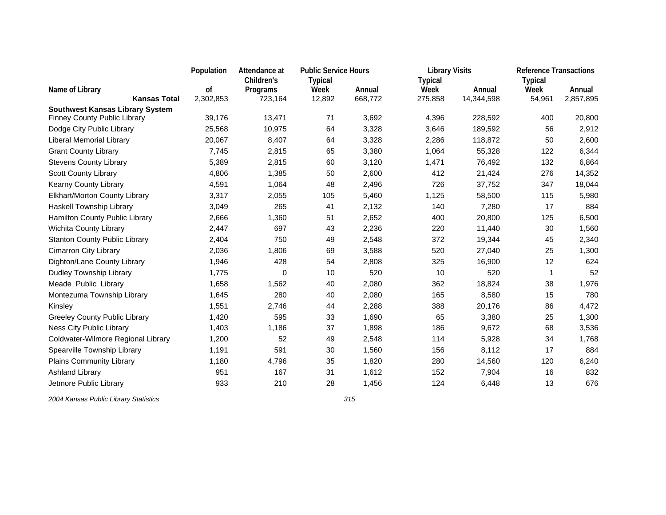|                                        | Population | Attendance at | <b>Public Service Hours</b> |         | <b>Library Visits</b> |            | <b>Reference Transactions</b> |           |
|----------------------------------------|------------|---------------|-----------------------------|---------|-----------------------|------------|-------------------------------|-----------|
|                                        |            | Children's    | <b>Typical</b>              |         | <b>Typical</b>        |            | <b>Typical</b>                |           |
| Name of Library                        | οf         | Programs      | Week                        | Annual  | Week                  | Annual     | Week                          | Annual    |
| <b>Kansas Total</b>                    | 2,302,853  | 723,164       | 12,892                      | 668,772 | 275,858               | 14,344,598 | 54,961                        | 2,857,895 |
| <b>Southwest Kansas Library System</b> |            |               |                             |         |                       |            |                               |           |
| <b>Finney County Public Library</b>    | 39,176     | 13,471        | 71                          | 3,692   | 4,396                 | 228,592    | 400                           | 20,800    |
| Dodge City Public Library              | 25,568     | 10,975        | 64                          | 3,328   | 3,646                 | 189,592    | 56                            | 2,912     |
| Liberal Memorial Library               | 20,067     | 8,407         | 64                          | 3,328   | 2,286                 | 118,872    | 50                            | 2,600     |
| <b>Grant County Library</b>            | 7,745      | 2,815         | 65                          | 3,380   | 1,064                 | 55,328     | 122                           | 6,344     |
| <b>Stevens County Library</b>          | 5,389      | 2,815         | 60                          | 3,120   | 1,471                 | 76,492     | 132                           | 6,864     |
| <b>Scott County Library</b>            | 4,806      | 1,385         | 50                          | 2,600   | 412                   | 21,424     | 276                           | 14,352    |
| Kearny County Library                  | 4,591      | 1,064         | 48                          | 2,496   | 726                   | 37,752     | 347                           | 18,044    |
| Elkhart/Morton County Library          | 3,317      | 2,055         | 105                         | 5,460   | 1,125                 | 58,500     | 115                           | 5,980     |
| Haskell Township Library               | 3,049      | 265           | 41                          | 2,132   | 140                   | 7,280      | 17                            | 884       |
| Hamilton County Public Library         | 2,666      | 1,360         | 51                          | 2,652   | 400                   | 20,800     | 125                           | 6,500     |
| Wichita County Library                 | 2,447      | 697           | 43                          | 2,236   | 220                   | 11,440     | 30                            | 1,560     |
| <b>Stanton County Public Library</b>   | 2,404      | 750           | 49                          | 2,548   | 372                   | 19,344     | 45                            | 2,340     |
| <b>Cimarron City Library</b>           | 2,036      | 1,806         | 69                          | 3,588   | 520                   | 27,040     | 25                            | 1,300     |
| Dighton/Lane County Library            | 1,946      | 428           | 54                          | 2,808   | 325                   | 16,900     | 12                            | 624       |
| Dudley Township Library                | 1,775      | 0             | 10                          | 520     | 10                    | 520        | $\mathbf{1}$                  | 52        |
| Meade Public Library                   | 1,658      | 1,562         | 40                          | 2,080   | 362                   | 18,824     | 38                            | 1,976     |
| Montezuma Township Library             | 1,645      | 280           | 40                          | 2,080   | 165                   | 8,580      | 15                            | 780       |
| Kinsley                                | 1,551      | 2,746         | 44                          | 2,288   | 388                   | 20,176     | 86                            | 4,472     |
| <b>Greeley County Public Library</b>   | 1,420      | 595           | 33                          | 1,690   | 65                    | 3,380      | 25                            | 1,300     |
| Ness City Public Library               | 1,403      | 1,186         | 37                          | 1,898   | 186                   | 9,672      | 68                            | 3,536     |
| Coldwater-Wilmore Regional Library     | 1,200      | 52            | 49                          | 2,548   | 114                   | 5,928      | 34                            | 1,768     |
| Spearville Township Library            | 1,191      | 591           | 30                          | 1,560   | 156                   | 8,112      | 17                            | 884       |
| <b>Plains Community Library</b>        | 1,180      | 4,796         | 35                          | 1,820   | 280                   | 14,560     | 120                           | 6,240     |
| Ashland Library                        | 951        | 167           | 31                          | 1,612   | 152                   | 7,904      | 16                            | 832       |
| Jetmore Public Library                 | 933        | 210           | 28                          | 1,456   | 124                   | 6,448      | 13                            | 676       |